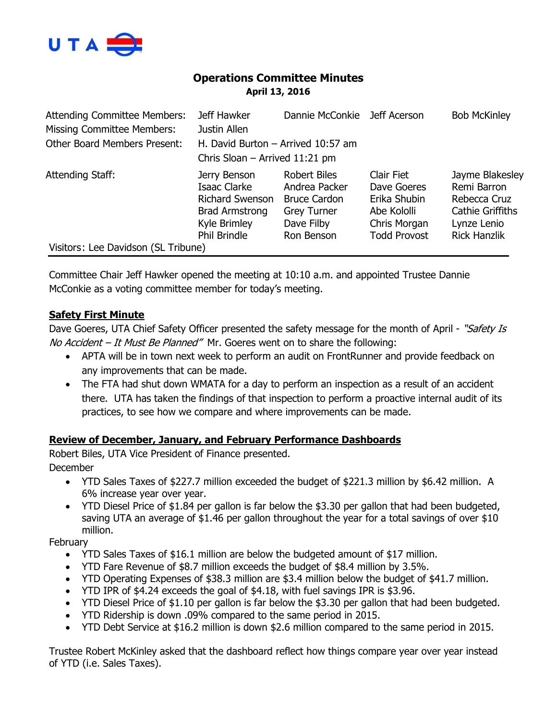

# **Operations Committee Minutes April 13, 2016**

| <b>Attending Committee Members:</b><br><b>Missing Committee Members:</b> | Jeff Hawker<br>Justin Allen                                                                                     | Dannie McConkie Jeff Acerson                                                                                  |                                                                                                 | <b>Bob McKinley</b>                                                                                             |
|--------------------------------------------------------------------------|-----------------------------------------------------------------------------------------------------------------|---------------------------------------------------------------------------------------------------------------|-------------------------------------------------------------------------------------------------|-----------------------------------------------------------------------------------------------------------------|
|                                                                          |                                                                                                                 |                                                                                                               |                                                                                                 |                                                                                                                 |
| <b>Other Board Members Present:</b>                                      | H. David Burton - Arrived 10:57 am                                                                              |                                                                                                               |                                                                                                 |                                                                                                                 |
|                                                                          | Chris Sloan $-$ Arrived 11:21 pm                                                                                |                                                                                                               |                                                                                                 |                                                                                                                 |
| Attending Staff:                                                         | Jerry Benson<br>Isaac Clarke<br><b>Richard Swenson</b><br><b>Brad Armstrong</b><br>Kyle Brimley<br>Phil Brindle | <b>Robert Biles</b><br>Andrea Packer<br><b>Bruce Cardon</b><br><b>Grey Turner</b><br>Dave Filby<br>Ron Benson | Clair Fiet<br>Dave Goeres<br>Erika Shubin<br>Abe Kololli<br>Chris Morgan<br><b>Todd Provost</b> | Jayme Blakesley<br>Remi Barron<br>Rebecca Cruz<br><b>Cathie Griffiths</b><br>Lynze Lenio<br><b>Rick Hanzlik</b> |
| Visitors: Lee Davidson (SL Tribune)                                      |                                                                                                                 |                                                                                                               |                                                                                                 |                                                                                                                 |

Committee Chair Jeff Hawker opened the meeting at 10:10 a.m. and appointed Trustee Dannie McConkie as a voting committee member for today's meeting.

## **Safety First Minute**

Dave Goeres, UTA Chief Safety Officer presented the safety message for the month of April - "Safety Is No Accident - It Must Be Planned" Mr. Goeres went on to share the following:

- APTA will be in town next week to perform an audit on FrontRunner and provide feedback on any improvements that can be made.
- The FTA had shut down WMATA for a day to perform an inspection as a result of an accident there. UTA has taken the findings of that inspection to perform a proactive internal audit of its practices, to see how we compare and where improvements can be made.

## **Review of December, January, and February Performance Dashboards**

Robert Biles, UTA Vice President of Finance presented. December

- YTD Sales Taxes of \$227.7 million exceeded the budget of \$221.3 million by \$6.42 million. A 6% increase year over year.
- YTD Diesel Price of \$1.84 per gallon is far below the \$3.30 per gallon that had been budgeted, saving UTA an average of \$1.46 per gallon throughout the year for a total savings of over \$10 million.

**February** 

- YTD Sales Taxes of \$16.1 million are below the budgeted amount of \$17 million.
- YTD Fare Revenue of \$8.7 million exceeds the budget of \$8.4 million by 3.5%.
- YTD Operating Expenses of \$38.3 million are \$3.4 million below the budget of \$41.7 million.
- YTD IPR of \$4.24 exceeds the goal of \$4.18, with fuel savings IPR is \$3.96.
- YTD Diesel Price of \$1.10 per gallon is far below the \$3.30 per gallon that had been budgeted.
- YTD Ridership is down .09% compared to the same period in 2015.
- YTD Debt Service at \$16.2 million is down \$2.6 million compared to the same period in 2015.

Trustee Robert McKinley asked that the dashboard reflect how things compare year over year instead of YTD (i.e. Sales Taxes).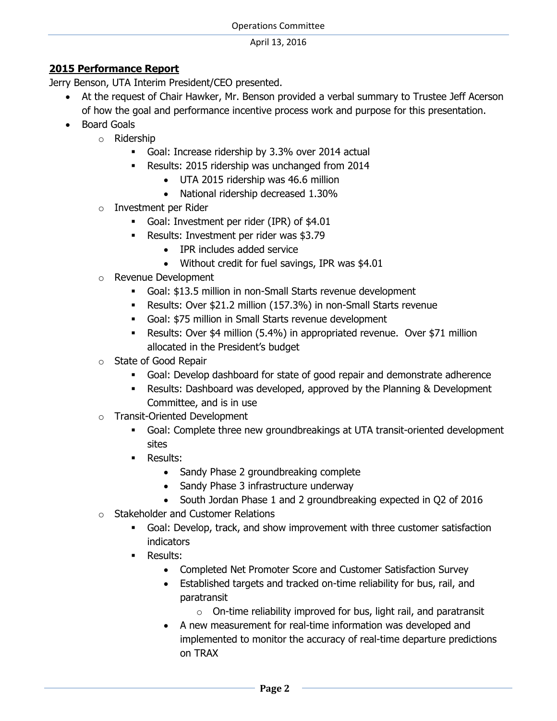## **2015 Performance Report**

Jerry Benson, UTA Interim President/CEO presented.

- At the request of Chair Hawker, Mr. Benson provided a verbal summary to Trustee Jeff Acerson of how the goal and performance incentive process work and purpose for this presentation.
- Board Goals
	- o Ridership
		- Goal: Increase ridership by 3.3% over 2014 actual
		- Results: 2015 ridership was unchanged from 2014
			- UTA 2015 ridership was 46.6 million
			- National ridership decreased 1.30%
	- o Investment per Rider
		- Goal: Investment per rider (IPR) of \$4.01
		- Results: Investment per rider was \$3.79
			- IPR includes added service
			- Without credit for fuel savings, IPR was \$4.01
	- o Revenue Development
		- Goal: \$13.5 million in non-Small Starts revenue development
		- Results: Over \$21.2 million (157.3%) in non-Small Starts revenue
		- Goal: \$75 million in Small Starts revenue development
		- Results: Over \$4 million (5.4%) in appropriated revenue. Over \$71 million allocated in the President's budget
	- o State of Good Repair
		- Goal: Develop dashboard for state of good repair and demonstrate adherence
		- Results: Dashboard was developed, approved by the Planning & Development Committee, and is in use
	- o Transit-Oriented Development
		- Goal: Complete three new groundbreakings at UTA transit-oriented development sites
		- **Results:** 
			- Sandy Phase 2 groundbreaking complete
			- Sandy Phase 3 infrastructure underway
			- South Jordan Phase 1 and 2 groundbreaking expected in Q2 of 2016
	- o Stakeholder and Customer Relations
		- Goal: Develop, track, and show improvement with three customer satisfaction indicators
		- Results:
			- Completed Net Promoter Score and Customer Satisfaction Survey
			- Established targets and tracked on-time reliability for bus, rail, and paratransit
				- $\circ$  On-time reliability improved for bus, light rail, and paratransit
			- A new measurement for real-time information was developed and implemented to monitor the accuracy of real-time departure predictions on TRAX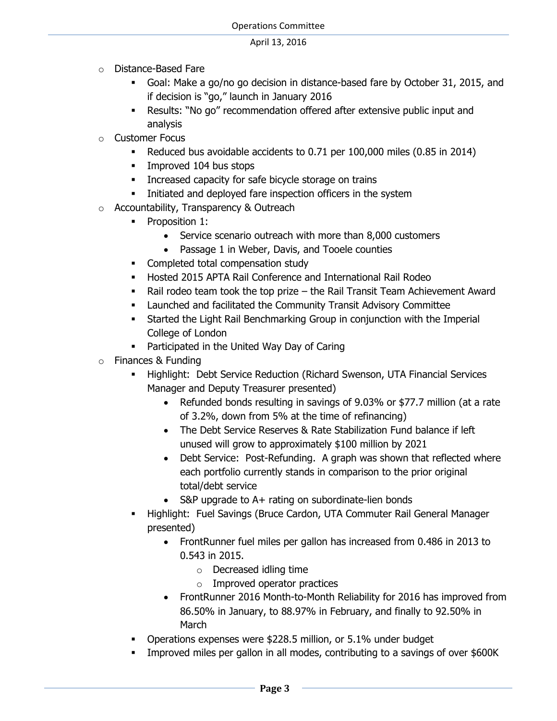- o Distance-Based Fare
	- Goal: Make a go/no go decision in distance-based fare by October 31, 2015, and if decision is "go," launch in January 2016
	- Results: "No go" recommendation offered after extensive public input and analysis
- o Customer Focus
	- Reduced bus avoidable accidents to 0.71 per 100,000 miles (0.85 in 2014)
	- **Improved 104 bus stops**
	- **Increased capacity for safe bicycle storage on trains**
	- **EXECUTE:** Initiated and deployed fare inspection officers in the system
- o Accountability, Transparency & Outreach
	- **•** Proposition 1:
		- Service scenario outreach with more than 8,000 customers
		- Passage 1 in Weber, Davis, and Tooele counties
	- Completed total compensation study
	- Hosted 2015 APTA Rail Conference and International Rail Rodeo
	- Rail rodeo team took the top prize the Rail Transit Team Achievement Award
	- Launched and facilitated the Community Transit Advisory Committee
	- Started the Light Rail Benchmarking Group in conjunction with the Imperial College of London
	- **Participated in the United Way Day of Caring**
- o Finances & Funding
	- Highlight: Debt Service Reduction (Richard Swenson, UTA Financial Services Manager and Deputy Treasurer presented)
		- Refunded bonds resulting in savings of 9.03% or \$77.7 million (at a rate of 3.2%, down from 5% at the time of refinancing)
		- The Debt Service Reserves & Rate Stabilization Fund balance if left unused will grow to approximately \$100 million by 2021
		- Debt Service: Post-Refunding. A graph was shown that reflected where each portfolio currently stands in comparison to the prior original total/debt service
		- S&P upgrade to A+ rating on subordinate-lien bonds
	- Highlight: Fuel Savings (Bruce Cardon, UTA Commuter Rail General Manager presented)
		- FrontRunner fuel miles per gallon has increased from 0.486 in 2013 to 0.543 in 2015.
			- o Decreased idling time
			- o Improved operator practices
		- FrontRunner 2016 Month-to-Month Reliability for 2016 has improved from 86.50% in January, to 88.97% in February, and finally to 92.50% in **March**
	- Operations expenses were \$228.5 million, or 5.1% under budget
	- Improved miles per gallon in all modes, contributing to a savings of over \$600K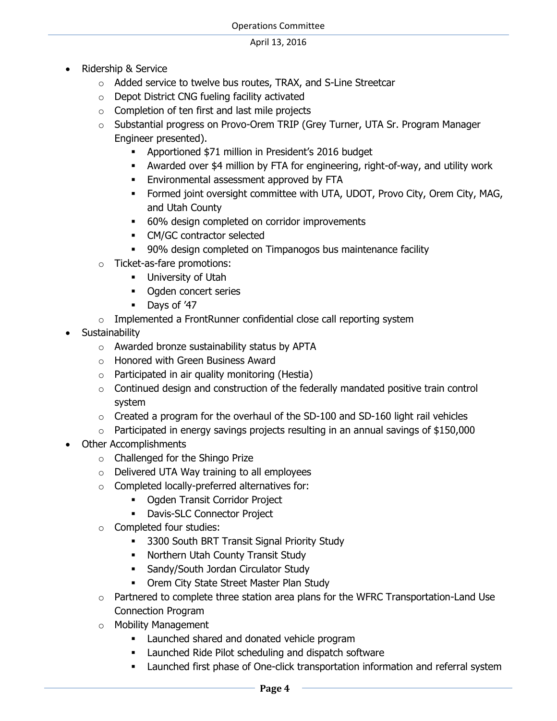- Ridership & Service
	- o Added service to twelve bus routes, TRAX, and S-Line Streetcar
	- o Depot District CNG fueling facility activated
	- o Completion of ten first and last mile projects
	- o Substantial progress on Provo-Orem TRIP (Grey Turner, UTA Sr. Program Manager Engineer presented).
		- Apportioned \$71 million in President's 2016 budget
		- Awarded over \$4 million by FTA for engineering, right-of-way, and utility work
		- **Environmental assessment approved by FTA**
		- **Formed joint oversight committee with UTA, UDOT, Provo City, Orem City, MAG,** and Utah County
		- 60% design completed on corridor improvements
		- CM/GC contractor selected
		- 90% design completed on Timpanogos bus maintenance facility
	- o Ticket-as-fare promotions:
		- **University of Utah**
		- Ogden concert series
		- Days of '47
	- o Implemented a FrontRunner confidential close call reporting system
- Sustainability
	- o Awarded bronze sustainability status by APTA
	- o Honored with Green Business Award
	- $\circ$  Participated in air quality monitoring (Hestia)
	- o Continued design and construction of the federally mandated positive train control system
	- $\circ$  Created a program for the overhaul of the SD-100 and SD-160 light rail vehicles
	- o Participated in energy savings projects resulting in an annual savings of \$150,000
- Other Accomplishments
	- o Challenged for the Shingo Prize
	- o Delivered UTA Way training to all employees
	- o Completed locally-preferred alternatives for:
		- **-** Ogden Transit Corridor Project
		- **-** Davis-SLC Connector Project
	- o Completed four studies:
		- **3300 South BRT Transit Signal Priority Study**
		- **Northern Utah County Transit Study**
		- **Sandy/South Jordan Circulator Study**
		- **Orem City State Street Master Plan Study**
	- $\circ$  Partnered to complete three station area plans for the WFRC Transportation-Land Use Connection Program
	- o Mobility Management
		- **Example 1** Launched shared and donated vehicle program
		- **EXECUTE:** Launched Ride Pilot scheduling and dispatch software
		- Launched first phase of One-click transportation information and referral system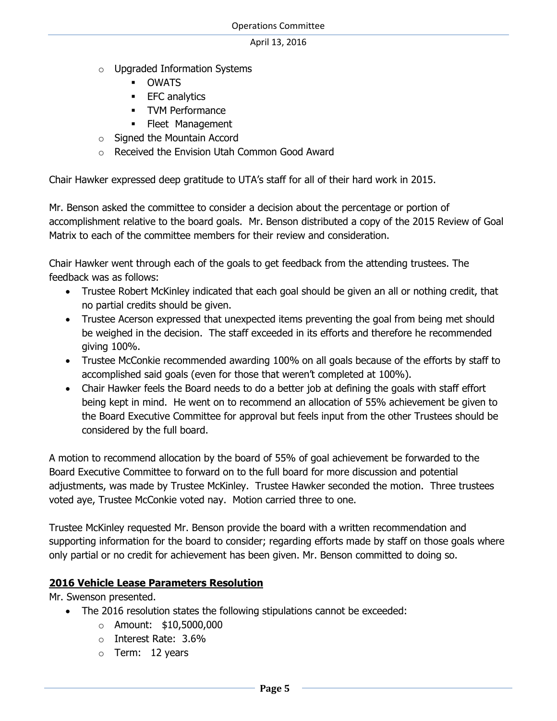- o Upgraded Information Systems
	- OWATS
	- **EFC** analytics
	- **•** TVM Performance
	- **Fleet Management**
- o Signed the Mountain Accord
- o Received the Envision Utah Common Good Award

Chair Hawker expressed deep gratitude to UTA's staff for all of their hard work in 2015.

Mr. Benson asked the committee to consider a decision about the percentage or portion of accomplishment relative to the board goals. Mr. Benson distributed a copy of the 2015 Review of Goal Matrix to each of the committee members for their review and consideration.

Chair Hawker went through each of the goals to get feedback from the attending trustees. The feedback was as follows:

- Trustee Robert McKinley indicated that each goal should be given an all or nothing credit, that no partial credits should be given.
- Trustee Acerson expressed that unexpected items preventing the goal from being met should be weighed in the decision. The staff exceeded in its efforts and therefore he recommended giving 100%.
- Trustee McConkie recommended awarding 100% on all goals because of the efforts by staff to accomplished said goals (even for those that weren't completed at 100%).
- Chair Hawker feels the Board needs to do a better job at defining the goals with staff effort being kept in mind. He went on to recommend an allocation of 55% achievement be given to the Board Executive Committee for approval but feels input from the other Trustees should be considered by the full board.

A motion to recommend allocation by the board of 55% of goal achievement be forwarded to the Board Executive Committee to forward on to the full board for more discussion and potential adjustments, was made by Trustee McKinley. Trustee Hawker seconded the motion. Three trustees voted aye, Trustee McConkie voted nay. Motion carried three to one.

Trustee McKinley requested Mr. Benson provide the board with a written recommendation and supporting information for the board to consider; regarding efforts made by staff on those goals where only partial or no credit for achievement has been given. Mr. Benson committed to doing so.

## **2016 Vehicle Lease Parameters Resolution**

Mr. Swenson presented.

- The 2016 resolution states the following stipulations cannot be exceeded:
	- o Amount: \$10,5000,000
	- o Interest Rate: 3.6%
	- $\circ$  Term: 12 years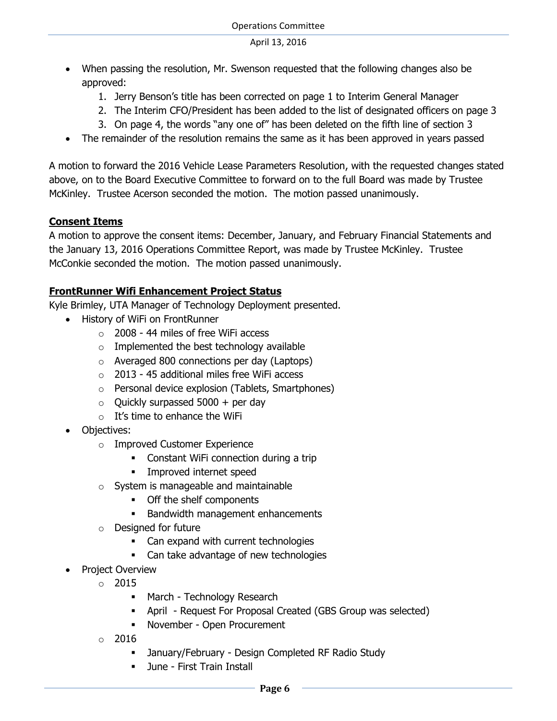- When passing the resolution, Mr. Swenson requested that the following changes also be approved:
	- 1. Jerry Benson's title has been corrected on page 1 to Interim General Manager
	- 2. The Interim CFO/President has been added to the list of designated officers on page 3
	- 3. On page 4, the words "any one of" has been deleted on the fifth line of section 3
- The remainder of the resolution remains the same as it has been approved in years passed

A motion to forward the 2016 Vehicle Lease Parameters Resolution, with the requested changes stated above, on to the Board Executive Committee to forward on to the full Board was made by Trustee McKinley. Trustee Acerson seconded the motion. The motion passed unanimously.

## **Consent Items**

A motion to approve the consent items: December, January, and February Financial Statements and the January 13, 2016 Operations Committee Report, was made by Trustee McKinley. Trustee McConkie seconded the motion. The motion passed unanimously.

## **FrontRunner Wifi Enhancement Project Status**

Kyle Brimley, UTA Manager of Technology Deployment presented.

- History of WiFi on FrontRunner
	- $\circ$  2008 44 miles of free WiFi access
	- $\circ$  Implemented the best technology available
	- o Averaged 800 connections per day (Laptops)
	- o 2013 45 additional miles free WiFi access
	- o Personal device explosion (Tablets, Smartphones)
	- $\circ$  Quickly surpassed 5000 + per day
	- $\circ$  It's time to enhance the WiFi
- Objectives:
	- o Improved Customer Experience
		- Constant WiFi connection during a trip
		- **Improved internet speed**
	- o System is manageable and maintainable
		- Off the shelf components
		- **Bandwidth management enhancements**
	- o Designed for future
		- Can expand with current technologies
		- Can take advantage of new technologies
	- Project Overview
		- $\circ$  2015
			- March Technology Research
			- April Request For Proposal Created (GBS Group was selected)
			- November Open Procurement
		- $\circ$  2016
			- January/February Design Completed RF Radio Study
			- **June First Train Install**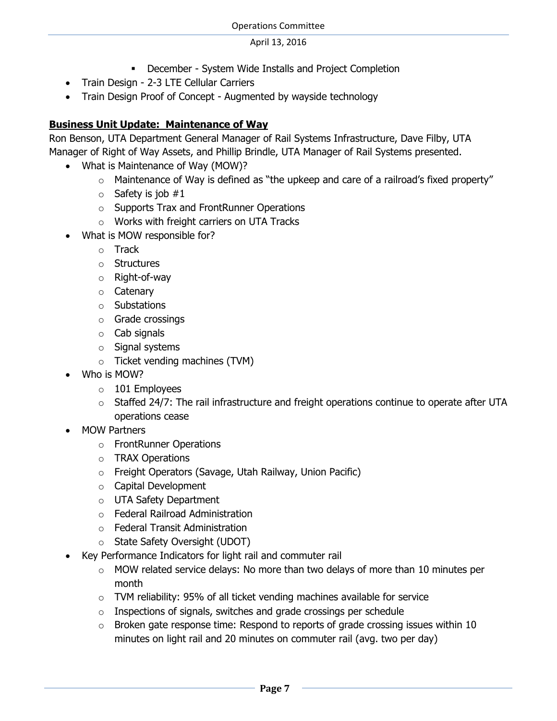- December System Wide Installs and Project Completion
- Train Design 2-3 LTE Cellular Carriers
- Train Design Proof of Concept Augmented by wayside technology

# **Business Unit Update: Maintenance of Way**

Ron Benson, UTA Department General Manager of Rail Systems Infrastructure, Dave Filby, UTA Manager of Right of Way Assets, and Phillip Brindle, UTA Manager of Rail Systems presented.

- What is Maintenance of Way (MOW)?
	- o Maintenance of Way is defined as "the upkeep and care of a railroad's fixed property"
	- $\circ$  Safety is job #1
	- o Supports Trax and FrontRunner Operations
	- o Works with freight carriers on UTA Tracks
- What is MOW responsible for?
	- o Track
	- o Structures
	- o Right-of-way
	- o Catenary
	- o Substations
	- o Grade crossings
	- o Cab signals
	- o Signal systems
	- o Ticket vending machines (TVM)
- Who is MOW?
	- $\circ$  101 Employees
	- $\circ$  Staffed 24/7: The rail infrastructure and freight operations continue to operate after UTA operations cease
- MOW Partners
	- o FrontRunner Operations
	- o TRAX Operations
	- o Freight Operators (Savage, Utah Railway, Union Pacific)
	- o Capital Development
	- o UTA Safety Department
	- o Federal Railroad Administration
	- o Federal Transit Administration
	- o State Safety Oversight (UDOT)
- Key Performance Indicators for light rail and commuter rail
	- o MOW related service delays: No more than two delays of more than 10 minutes per month
	- o TVM reliability: 95% of all ticket vending machines available for service
	- $\circ$  Inspections of signals, switches and grade crossings per schedule
	- $\circ$  Broken gate response time: Respond to reports of grade crossing issues within 10 minutes on light rail and 20 minutes on commuter rail (avg. two per day)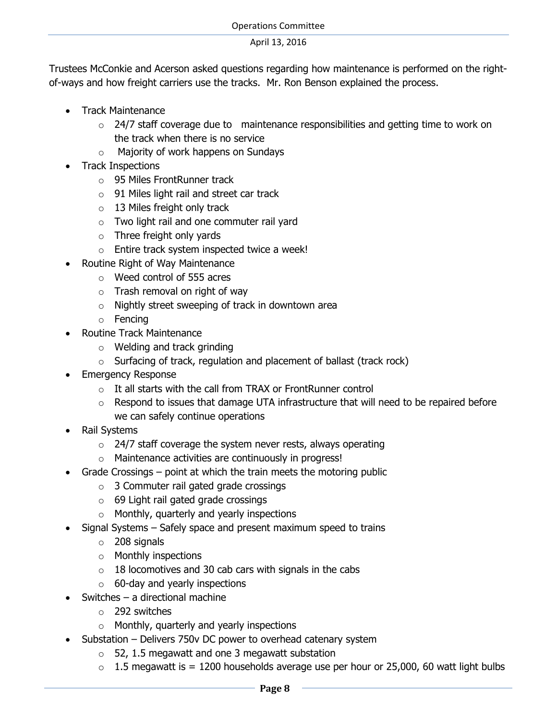Trustees McConkie and Acerson asked questions regarding how maintenance is performed on the rightof-ways and how freight carriers use the tracks. Mr. Ron Benson explained the process.

- Track Maintenance
	- $\circ$  24/7 staff coverage due to maintenance responsibilities and getting time to work on the track when there is no service
	- o Majority of work happens on Sundays
- Track Inspections
	- o 95 Miles FrontRunner track
	- o 91 Miles light rail and street car track
	- $\circ$  13 Miles freight only track
	- o Two light rail and one commuter rail yard
	- o Three freight only yards
	- o Entire track system inspected twice a week!
- Routine Right of Way Maintenance
	- o Weed control of 555 acres
	- $\circ$  Trash removal on right of way
	- $\circ$  Nightly street sweeping of track in downtown area
	- o Fencing
- Routine Track Maintenance
	- o Welding and track grinding
	- $\circ$  Surfacing of track, regulation and placement of ballast (track rock)
- Emergency Response
	- $\circ$  It all starts with the call from TRAX or FrontRunner control
	- $\circ$  Respond to issues that damage UTA infrastructure that will need to be repaired before we can safely continue operations
- Rail Systems
	- $\circ$  24/7 staff coverage the system never rests, always operating
	- o Maintenance activities are continuously in progress!
- Grade Crossings point at which the train meets the motoring public
	- o 3 Commuter rail gated grade crossings
	- o 69 Light rail gated grade crossings
	- o Monthly, quarterly and yearly inspections
- Signal Systems Safely space and present maximum speed to trains
	- o 208 signals
	- o Monthly inspections
	- $\circ$  18 locomotives and 30 cab cars with signals in the cabs
	- $\circ$  60-day and yearly inspections
- Switches a directional machine
	- o 292 switches
	- o Monthly, quarterly and yearly inspections
- Substation Delivers 750v DC power to overhead catenary system
	- $\circ$  52, 1.5 megawatt and one 3 megawatt substation
	- $\circ$  1.5 megawatt is = 1200 households average use per hour or 25,000, 60 watt light bulbs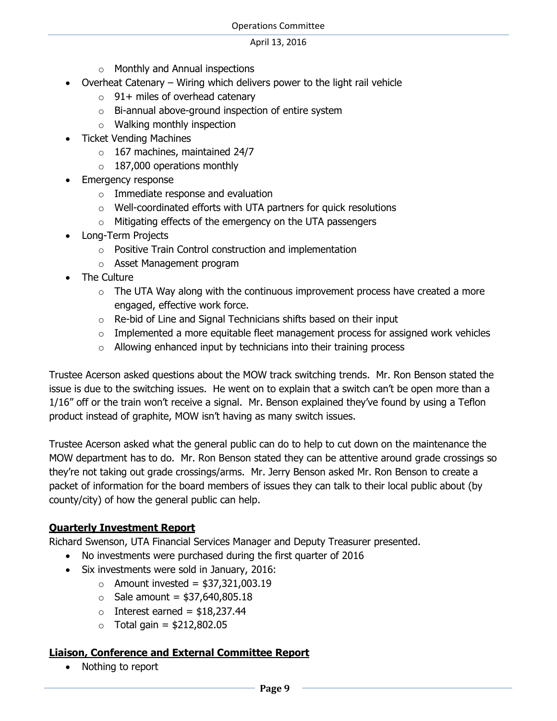- o Monthly and Annual inspections
- Overheat Catenary Wiring which delivers power to the light rail vehicle
	- $\circ$  91+ miles of overhead catenary
	- o Bi-annual above-ground inspection of entire system
	- o Walking monthly inspection
- Ticket Vending Machines
	- $\circ$  167 machines, maintained 24/7
	- $\circ$  187,000 operations monthly
- Emergency response
	- o Immediate response and evaluation
	- $\circ$  Well-coordinated efforts with UTA partners for quick resolutions
	- $\circ$  Mitigating effects of the emergency on the UTA passengers
- Long-Term Projects
	- o Positive Train Control construction and implementation
	- o Asset Management program
- The Culture
	- $\circ$  The UTA Way along with the continuous improvement process have created a more engaged, effective work force.
	- o Re-bid of Line and Signal Technicians shifts based on their input
	- $\circ$  Implemented a more equitable fleet management process for assigned work vehicles
	- $\circ$  Allowing enhanced input by technicians into their training process

Trustee Acerson asked questions about the MOW track switching trends. Mr. Ron Benson stated the issue is due to the switching issues. He went on to explain that a switch can't be open more than a 1/16" off or the train won't receive a signal. Mr. Benson explained they've found by using a Teflon product instead of graphite, MOW isn't having as many switch issues.

Trustee Acerson asked what the general public can do to help to cut down on the maintenance the MOW department has to do. Mr. Ron Benson stated they can be attentive around grade crossings so they're not taking out grade crossings/arms. Mr. Jerry Benson asked Mr. Ron Benson to create a packet of information for the board members of issues they can talk to their local public about (by county/city) of how the general public can help.

## **Quarterly Investment Report**

Richard Swenson, UTA Financial Services Manager and Deputy Treasurer presented.

- No investments were purchased during the first quarter of 2016
- Six investments were sold in January, 2016:
	- $\circ$  Amount invested = \$37,321,003.19
	- $\circ$  Sale amount = \$37,640,805.18
	- $\circ$  Interest earned = \$18,237.44
	- $\circ$  Total gain = \$212,802.05

## **Liaison, Conference and External Committee Report**

Nothing to report